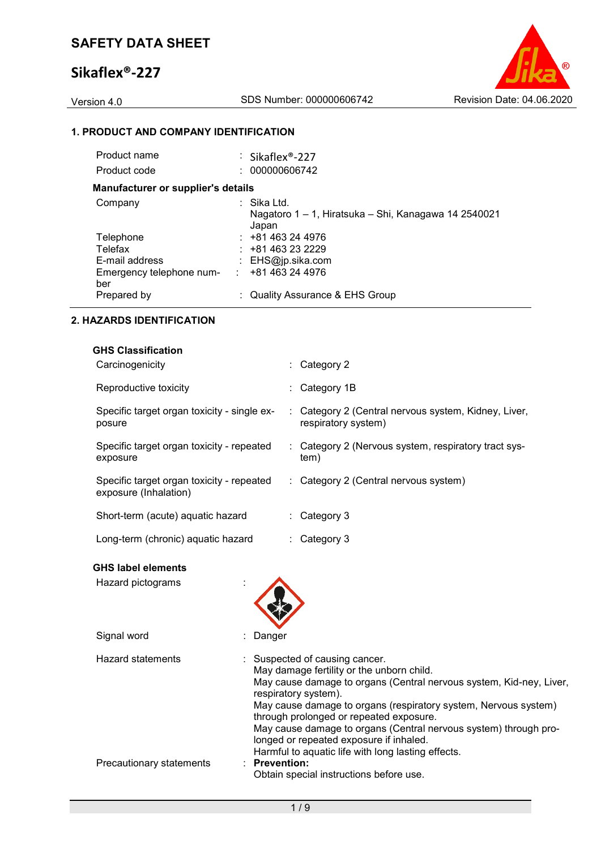# **Sikaflex®-227**



## **1. PRODUCT AND COMPANY IDENTIFICATION**

| Product name                              | : Sikaflex <sup>®</sup> -227                                                 |
|-------------------------------------------|------------------------------------------------------------------------------|
| Product code                              | : 000000606742                                                               |
| <b>Manufacturer or supplier's details</b> |                                                                              |
| Company                                   | ⊹ Sika Ltd.<br>Nagatoro 1 – 1, Hiratsuka – Shi, Kanagawa 14 2540021<br>Japan |
| Telephone                                 | $: +81463244976$                                                             |
| Telefax                                   | $: +81463232229$                                                             |
| E-mail address                            | : $EHS@ip.sika.com$                                                          |
| Emergency telephone num-<br>ber           | +81 463 24 4976<br>÷.                                                        |
| Prepared by                               | : Quality Assurance & EHS Group                                              |

### **2. HAZARDS IDENTIFICATION**

| <b>GHS Classification</b>                                          |                                                                             |
|--------------------------------------------------------------------|-----------------------------------------------------------------------------|
| Carcinogenicity                                                    | $\therefore$ Category 2                                                     |
| Reproductive toxicity                                              | $\therefore$ Category 1B                                                    |
| Specific target organ toxicity - single ex-<br>posure              | : Category 2 (Central nervous system, Kidney, Liver,<br>respiratory system) |
| Specific target organ toxicity - repeated<br>exposure              | : Category 2 (Nervous system, respiratory tract sys-<br>tem)                |
| Specific target organ toxicity - repeated<br>exposure (Inhalation) | : Category 2 (Central nervous system)                                       |
| Short-term (acute) aquatic hazard                                  | $\therefore$ Category 3                                                     |
| Long-term (chronic) aquatic hazard                                 | $\therefore$ Category 3                                                     |

## **GHS label elements**

| Hazard pictograms        |                                                                                                                                                                                                                                                                                                                                                                                                                                                               |
|--------------------------|---------------------------------------------------------------------------------------------------------------------------------------------------------------------------------------------------------------------------------------------------------------------------------------------------------------------------------------------------------------------------------------------------------------------------------------------------------------|
| Signal word              | Danger                                                                                                                                                                                                                                                                                                                                                                                                                                                        |
| <b>Hazard statements</b> | : Suspected of causing cancer.<br>May damage fertility or the unborn child.<br>May cause damage to organs (Central nervous system, Kid-ney, Liver,<br>respiratory system).<br>May cause damage to organs (respiratory system, Nervous system)<br>through prolonged or repeated exposure.<br>May cause damage to organs (Central nervous system) through pro-<br>longed or repeated exposure if inhaled.<br>Harmful to aquatic life with long lasting effects. |
| Precautionary statements | $:$ Prevention:<br>Obtain special instructions before use.                                                                                                                                                                                                                                                                                                                                                                                                    |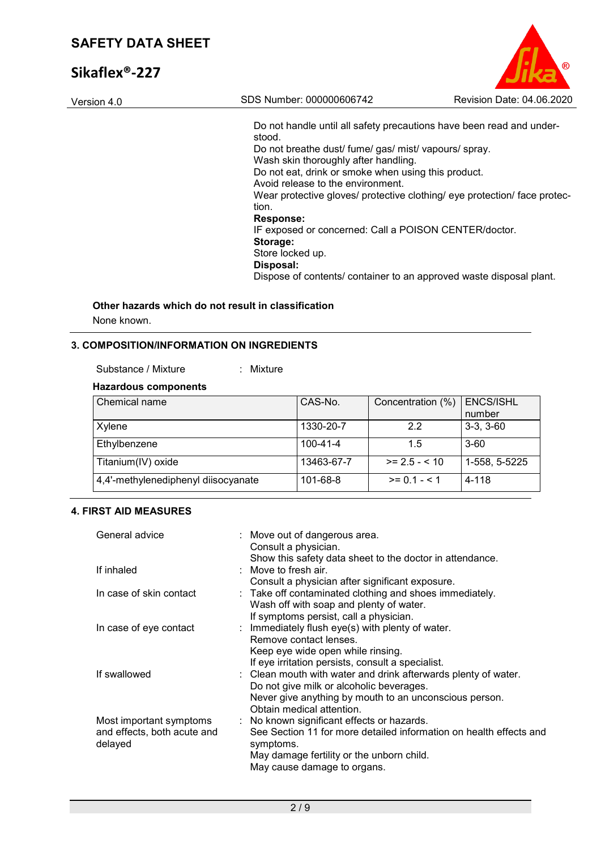# **Sikaflex®-227**

| œ                         |
|---------------------------|
| Revision Date: 04.06.2020 |

Do not handle until all safety precautions have been read and understood. Do not breathe dust/ fume/ gas/ mist/ vapours/ spray. Wash skin thoroughly after handling. Do not eat, drink or smoke when using this product. Avoid release to the environment. Wear protective gloves/ protective clothing/ eye protection/ face protection. **Response:**  IF exposed or concerned: Call a POISON CENTER/doctor. **Storage:**  Store locked up. **Disposal:**  Dispose of contents/ container to an approved waste disposal plant.

# **Other hazards which do not result in classification**

Version 4.0 SDS Number: 000000606742

None known.

## **3. COMPOSITION/INFORMATION ON INGREDIENTS**

Substance / Mixture : Mixture

### **Hazardous components**

| Chemical name                       | CAS-No.    | Concentration (%) | <b>ENCS/ISHL</b><br>number |
|-------------------------------------|------------|-------------------|----------------------------|
| Xylene                              | 1330-20-7  | 2.2               | $3-3, 3-60$                |
| Ethylbenzene                        | 100-41-4   | 1.5               | $3 - 60$                   |
| Titanium(IV) oxide                  | 13463-67-7 | $>= 2.5 - 10$     | 1-558, 5-5225              |
| 4,4'-methylenediphenyl diisocyanate | 101-68-8   | $>= 0.1 - 5.1$    | 4-118                      |

### **4. FIRST AID MEASURES**

| General advice              | : Move out of dangerous area.<br>Consult a physician.              |
|-----------------------------|--------------------------------------------------------------------|
|                             | Show this safety data sheet to the doctor in attendance.           |
| If inhaled                  | $\therefore$ Move to fresh air.                                    |
|                             | Consult a physician after significant exposure.                    |
| In case of skin contact     | : Take off contaminated clothing and shoes immediately.            |
|                             | Wash off with soap and plenty of water.                            |
|                             | If symptoms persist, call a physician.                             |
| In case of eye contact      | : Immediately flush eye(s) with plenty of water.                   |
|                             | Remove contact lenses.                                             |
|                             | Keep eye wide open while rinsing.                                  |
|                             | If eye irritation persists, consult a specialist.                  |
| If swallowed                | : Clean mouth with water and drink afterwards plenty of water.     |
|                             | Do not give milk or alcoholic beverages.                           |
|                             | Never give anything by mouth to an unconscious person.             |
|                             | Obtain medical attention.                                          |
| Most important symptoms     | : No known significant effects or hazards.                         |
| and effects, both acute and | See Section 11 for more detailed information on health effects and |
| delayed                     | symptoms.                                                          |
|                             | May damage fertility or the unborn child.                          |
|                             | May cause damage to organs.                                        |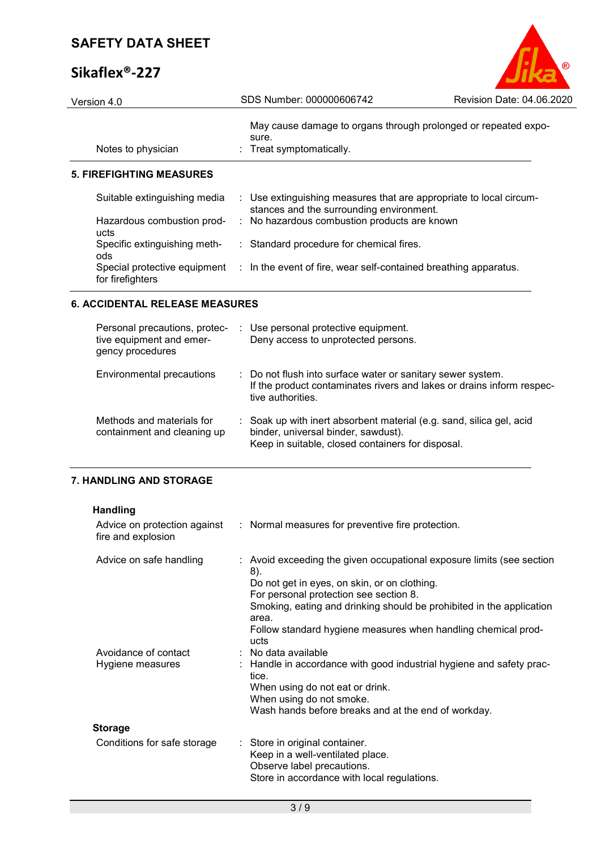# **Sikaflex®-227**

| Version 4.0                         | SDS Number: 000000606742                                                                                       | Revision Date: 04.06.2020 |
|-------------------------------------|----------------------------------------------------------------------------------------------------------------|---------------------------|
| Notes to physician                  | May cause damage to organs through prolonged or repeated expo-<br>sure.<br>: Treat symptomatically.            |                           |
| 5. FIREFIGHTING MEASURES            |                                                                                                                |                           |
| Suitable extinguishing media        | : Use extinguishing measures that are appropriate to local circum-<br>stances and the surrounding environment. |                           |
| Hazardous combustion prod-<br>ucts  | : No hazardous combustion products are known                                                                   |                           |
| Specific extinguishing meth-<br>ods | : Standard procedure for chemical fires.                                                                       |                           |
| for firefighters                    | Special protective equipment : In the event of fire, wear self-contained breathing apparatus.                  |                           |
|                                     |                                                                                                                |                           |

B

### **6. ACCIDENTAL RELEASE MEASURES**

| Personal precautions, protec-<br>tive equipment and emer-<br>gency procedures | : Use personal protective equipment.<br>Deny access to unprotected persons.                                                                                      |
|-------------------------------------------------------------------------------|------------------------------------------------------------------------------------------------------------------------------------------------------------------|
| Environmental precautions                                                     | : Do not flush into surface water or sanitary sewer system.<br>If the product contaminates rivers and lakes or drains inform respec-<br>tive authorities.        |
| Methods and materials for<br>containment and cleaning up                      | : Soak up with inert absorbent material (e.g. sand, silica gel, acid<br>binder, universal binder, sawdust).<br>Keep in suitable, closed containers for disposal. |

## **7. HANDLING AND STORAGE**

| <b>Handling</b><br>Advice on protection against<br>fire and explosion | : Normal measures for preventive fire protection.                                                                                                                                                                            |
|-----------------------------------------------------------------------|------------------------------------------------------------------------------------------------------------------------------------------------------------------------------------------------------------------------------|
| Advice on safe handling                                               | : Avoid exceeding the given occupational exposure limits (see section<br>8).<br>Do not get in eyes, on skin, or on clothing.<br>For personal protection see section 8.                                                       |
|                                                                       | Smoking, eating and drinking should be prohibited in the application<br>area.<br>Follow standard hygiene measures when handling chemical prod-<br>ucts                                                                       |
| Avoidance of contact<br>Hygiene measures                              | $:$ No data available<br>: Handle in accordance with good industrial hygiene and safety prac-<br>tice.<br>When using do not eat or drink.<br>When using do not smoke.<br>Wash hands before breaks and at the end of workday. |
| <b>Storage</b>                                                        |                                                                                                                                                                                                                              |
| Conditions for safe storage                                           | : Store in original container.<br>Keep in a well-ventilated place.<br>Observe label precautions.<br>Store in accordance with local regulations.                                                                              |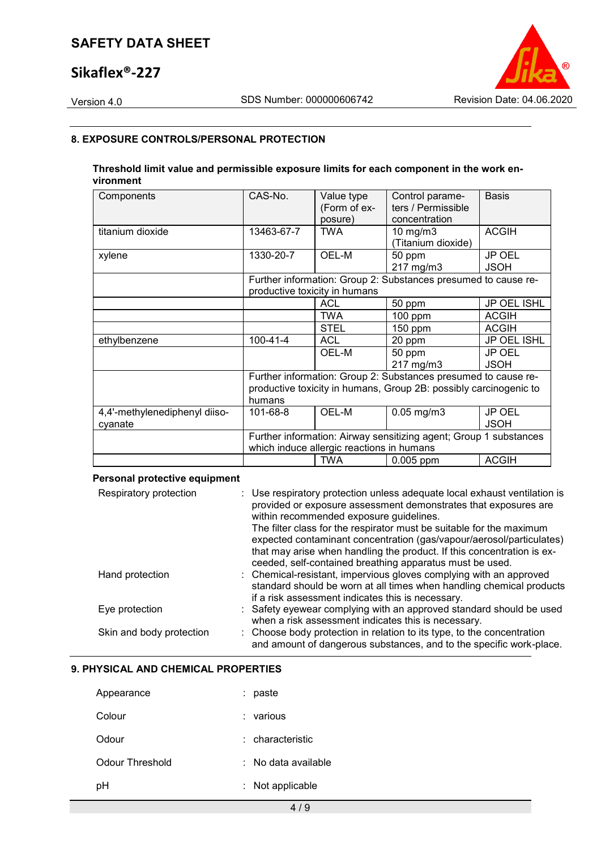# **Sikaflex®-227**



### **8. EXPOSURE CONTROLS/PERSONAL PROTECTION**

### **Threshold limit value and permissible exposure limits for each component in the work environment**

| Components                    | CAS-No.                                                                                                        | Value type<br>(Form of ex-<br>posure) | Control parame-<br>ters / Permissible<br>concentration         | <b>Basis</b>                 |
|-------------------------------|----------------------------------------------------------------------------------------------------------------|---------------------------------------|----------------------------------------------------------------|------------------------------|
| titanium dioxide              | 13463-67-7                                                                                                     | <b>TWA</b>                            | $10 \text{ mg/m}$<br>(Titanium dioxide)                        | <b>ACGIH</b>                 |
| xylene                        | 1330-20-7                                                                                                      | OEL-M                                 | 50 ppm<br>217 mg/m3                                            | JP OEL<br><b>JSOH</b>        |
|                               |                                                                                                                | productive toxicity in humans         | Further information: Group 2: Substances presumed to cause re- |                              |
|                               |                                                                                                                | <b>ACL</b>                            | 50 ppm                                                         | JP OEL ISHL                  |
|                               |                                                                                                                | <b>TWA</b>                            | $100$ ppm                                                      | <b>ACGIH</b>                 |
|                               |                                                                                                                | <b>STEL</b>                           | $150$ ppm                                                      | <b>ACGIH</b>                 |
| ethylbenzene                  | $100 - 41 - 4$                                                                                                 | <b>ACL</b>                            | 20 ppm                                                         | JP OEL ISHL                  |
|                               |                                                                                                                | OEL-M                                 | 50 ppm<br>217 mg/m3                                            | <b>JP OEL</b><br><b>JSOH</b> |
|                               |                                                                                                                |                                       | Further information: Group 2: Substances presumed to cause re- |                              |
|                               | productive toxicity in humans, Group 2B: possibly carcinogenic to<br>humans                                    |                                       |                                                                |                              |
| 4,4'-methylenediphenyl diiso- | 101-68-8                                                                                                       | OEL-M                                 | $0.05$ mg/m $3$                                                | JP OEL                       |
| cyanate                       |                                                                                                                |                                       |                                                                | <b>JSOH</b>                  |
|                               | Further information: Airway sensitizing agent; Group 1 substances<br>which induce allergic reactions in humans |                                       |                                                                |                              |
|                               |                                                                                                                | <b>TWA</b>                            | 0.005 ppm                                                      | <b>ACGIH</b>                 |

### **Personal protective equipment**

| Respiratory protection   | : Use respiratory protection unless adequate local exhaust ventilation is<br>provided or exposure assessment demonstrates that exposures are<br>within recommended exposure guidelines.<br>The filter class for the respirator must be suitable for the maximum<br>expected contaminant concentration (gas/vapour/aerosol/particulates)<br>that may arise when handling the product. If this concentration is ex-<br>ceeded, self-contained breathing apparatus must be used. |
|--------------------------|-------------------------------------------------------------------------------------------------------------------------------------------------------------------------------------------------------------------------------------------------------------------------------------------------------------------------------------------------------------------------------------------------------------------------------------------------------------------------------|
| Hand protection          | : Chemical-resistant, impervious gloves complying with an approved<br>standard should be worn at all times when handling chemical products<br>if a risk assessment indicates this is necessary.                                                                                                                                                                                                                                                                               |
| Eye protection           | : Safety eyewear complying with an approved standard should be used<br>when a risk assessment indicates this is necessary.                                                                                                                                                                                                                                                                                                                                                    |
| Skin and body protection | : Choose body protection in relation to its type, to the concentration<br>and amount of dangerous substances, and to the specific work-place.                                                                                                                                                                                                                                                                                                                                 |

### **9. PHYSICAL AND CHEMICAL PROPERTIES**

| Appearance      |    | paste                 |
|-----------------|----|-----------------------|
| Colour          |    | : various             |
| Odour           |    | $:$ characteristic    |
| Odour Threshold |    | $:$ No data available |
| рH              | t. | Not applicable        |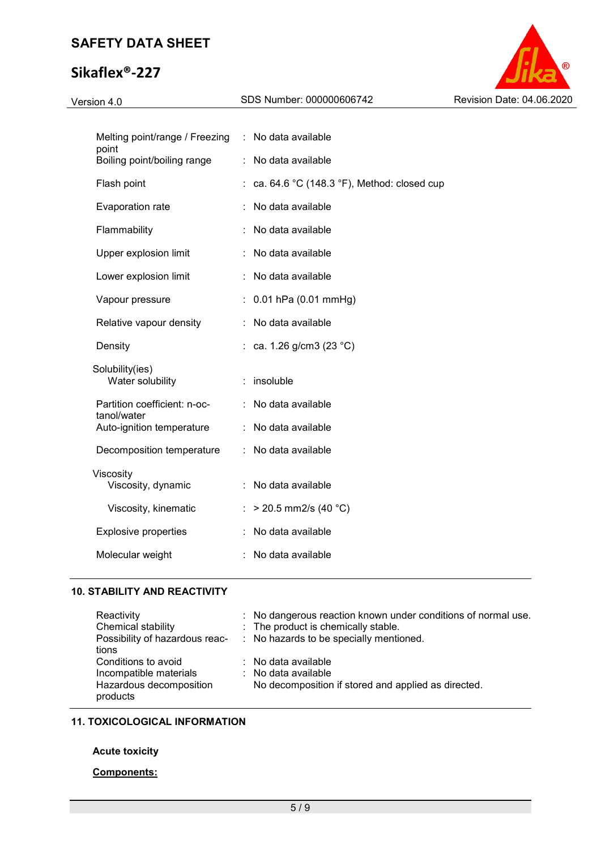# **Sikaflex®-227**



| Melting point/range / Freezing : No data available<br>point |    |                                            |
|-------------------------------------------------------------|----|--------------------------------------------|
| Boiling point/boiling range                                 |    | : No data available                        |
| Flash point                                                 |    | ca. 64.6 °C (148.3 °F), Method: closed cup |
| Evaporation rate                                            |    | No data available                          |
| Flammability                                                |    | No data available                          |
| Upper explosion limit                                       |    | No data available                          |
| Lower explosion limit                                       |    | No data available                          |
| Vapour pressure                                             |    | : $0.01$ hPa (0.01 mmHg)                   |
| Relative vapour density                                     | ÷. | No data available                          |
| Density                                                     |    | : ca. 1.26 g/cm3 (23 °C)                   |
| Solubility(ies)<br>Water solubility                         |    | $:$ insoluble                              |
| Partition coefficient: n-oc-<br>tanol/water                 |    | : No data available                        |
| Auto-ignition temperature                                   |    | : No data available                        |
| Decomposition temperature                                   |    | : No data available                        |
| Viscosity<br>Viscosity, dynamic                             |    | : No data available                        |
| Viscosity, kinematic                                        |    | $>$ 20.5 mm2/s (40 °C)                     |
| <b>Explosive properties</b>                                 |    | No data available                          |
| Molecular weight                                            |    | No data available                          |
|                                                             |    |                                            |

### **10. STABILITY AND REACTIVITY**

| Reactivity                     | : No dangerous reaction known under conditions of normal use. |
|--------------------------------|---------------------------------------------------------------|
| Chemical stability             | : The product is chemically stable.                           |
| Possibility of hazardous reac- | : No hazards to be specially mentioned.                       |
| tions                          |                                                               |
| Conditions to avoid            | $\therefore$ No data available                                |
| Incompatible materials         | $\therefore$ No data available                                |
| Hazardous decomposition        | No decomposition if stored and applied as directed.           |
| products                       |                                                               |

### **11. TOXICOLOGICAL INFORMATION**

### **Acute toxicity**

### **Components:**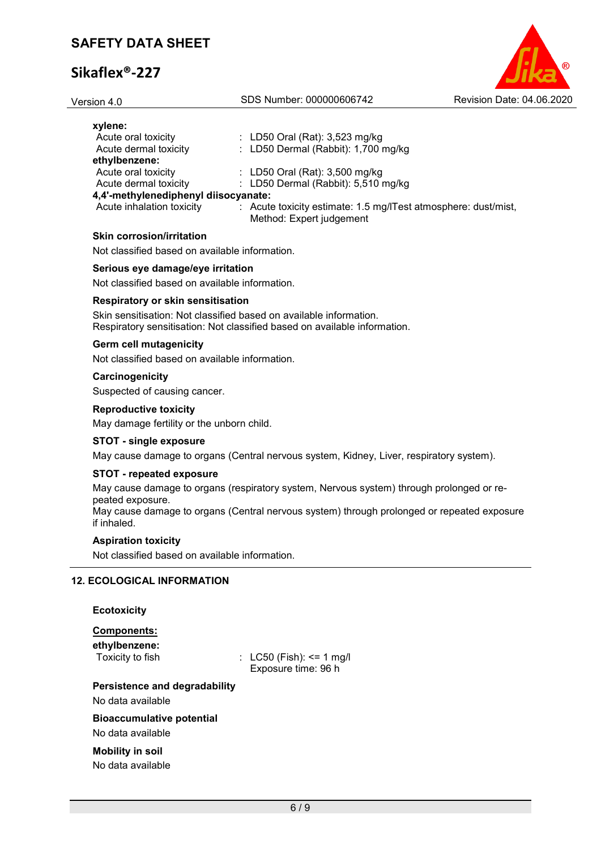# **Sikaflex®-227**

| Version 4.0                                    | SDS Number: 000000606742                                                                   | Revision Date: 04.06.2020 |
|------------------------------------------------|--------------------------------------------------------------------------------------------|---------------------------|
| xylene:                                        |                                                                                            |                           |
| Acute oral toxicity                            | : LD50 Oral (Rat): $3,523$ mg/kg                                                           |                           |
| Acute dermal toxicity                          | : LD50 Dermal (Rabbit): $1,700$ mg/kg                                                      |                           |
| ethylbenzene:                                  |                                                                                            |                           |
| Acute oral toxicity                            | : LD50 Oral (Rat): $3,500$ mg/kg                                                           |                           |
| Acute dermal toxicity                          | : LD50 Dermal (Rabbit): $5,510$ mg/kg                                                      |                           |
| 4,4'-methylenediphenyl diisocyanate:           |                                                                                            |                           |
| Acute inhalation toxicity                      | : Acute toxicity estimate: 1.5 mg/ITest atmosphere: dust/mist,<br>Method: Expert judgement |                           |
| <b>Skin corrosion/irritation</b>               |                                                                                            |                           |
| Not classified based on available information. |                                                                                            |                           |
| Serious eye damage/eye irritation              |                                                                                            |                           |
| Not classified based on available information. |                                                                                            |                           |
| Respiratory or skin sensitisation              |                                                                                            |                           |
|                                                |                                                                                            |                           |

Skin sensitisation: Not classified based on available information. Respiratory sensitisation: Not classified based on available information.

### **Germ cell mutagenicity**

Not classified based on available information.

#### **Carcinogenicity**

Suspected of causing cancer.

#### **Reproductive toxicity**

May damage fertility or the unborn child.

#### **STOT - single exposure**

May cause damage to organs (Central nervous system, Kidney, Liver, respiratory system).

#### **STOT - repeated exposure**

May cause damage to organs (respiratory system, Nervous system) through prolonged or repeated exposure.

May cause damage to organs (Central nervous system) through prolonged or repeated exposure if inhaled.

### **Aspiration toxicity**

Not classified based on available information.

### **12. ECOLOGICAL INFORMATION**

| <b>Ecotoxicity</b> |  |
|--------------------|--|
| <b>Components:</b> |  |

| ethylbenzene:<br>Toxicity to fish    | : $LC50$ (Fish): <= 1 mg/l<br>Exposure time: 96 h |
|--------------------------------------|---------------------------------------------------|
| <b>Persistence and degradability</b> |                                                   |
| No data available                    |                                                   |
| <b>Bioaccumulative potential</b>     |                                                   |
| No data available                    |                                                   |
| <b>Mobility in soil</b>              |                                                   |

No data available

6 / 9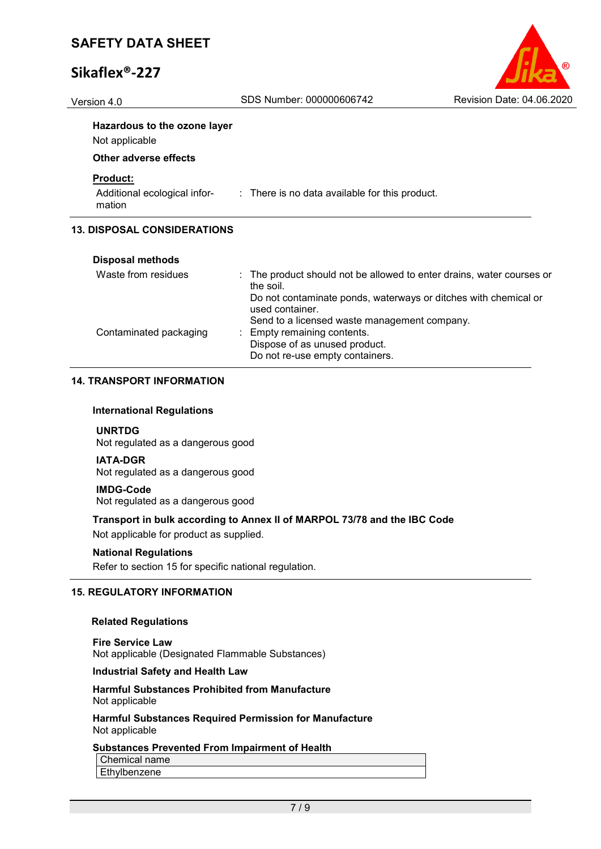# **Sikaflex®-227**



Version 4.0 SDS Number: 000000606742 Revision Date: 04.06.2020

## **Hazardous to the ozone layer**

Not applicable

### **Other adverse effects**

### **Product:**

mation

Additional ecological infor-: There is no data available for this product.

### **13. DISPOSAL CONSIDERATIONS**

| <b>Disposal methods</b> |                                                                                                                                    |
|-------------------------|------------------------------------------------------------------------------------------------------------------------------------|
| Waste from residues     | : The product should not be allowed to enter drains, water courses or<br>the soil.                                                 |
|                         | Do not contaminate ponds, waterways or ditches with chemical or<br>used container.<br>Send to a licensed waste management company. |
| Contaminated packaging  | : Empty remaining contents.<br>Dispose of as unused product.<br>Do not re-use empty containers.                                    |

### **14. TRANSPORT INFORMATION**

#### **International Regulations**

**UNRTDG** Not regulated as a dangerous good

#### **IATA-DGR**

Not regulated as a dangerous good

#### **IMDG-Code**

Not regulated as a dangerous good

### **Transport in bulk according to Annex II of MARPOL 73/78 and the IBC Code**

Not applicable for product as supplied.

#### **National Regulations**

Refer to section 15 for specific national regulation.

### **15. REGULATORY INFORMATION**

#### **Related Regulations**

**Fire Service Law** Not applicable (Designated Flammable Substances)

#### **Industrial Safety and Health Law**

#### **Harmful Substances Prohibited from Manufacture** Not applicable

**Harmful Substances Required Permission for Manufacture** Not applicable

### **Substances Prevented From Impairment of Health**

Chemical name

Ethylbenzene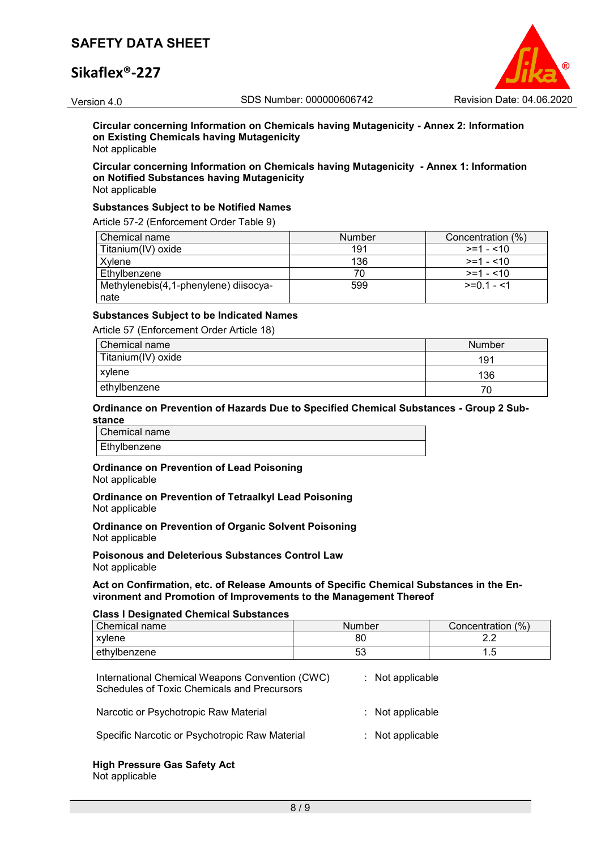## **Sikaflex®-227**



**Circular concerning Information on Chemicals having Mutagenicity - Annex 2: Information on Existing Chemicals having Mutagenicity** Not applicable

## **Circular concerning Information on Chemicals having Mutagenicity - Annex 1: Information on Notified Substances having Mutagenicity**

Not applicable

#### **Substances Subject to be Notified Names**

Article 57-2 (Enforcement Order Table 9)

| Chemical name                         | Number | Concentration (%) |
|---------------------------------------|--------|-------------------|
| Titanium(IV) oxide                    | 191    | $>=1 - 10$        |
| Xvlene                                | 136    | $>=1 - 10$        |
| Ethylbenzene                          |        | $>=1 - 10$        |
| Methylenebis(4,1-phenylene) diisocya- | 599    | $>=01 - 1$        |
| nate                                  |        |                   |

### **Substances Subject to be Indicated Names**

Article 57 (Enforcement Order Article 18)

| Chemical name      | Number |
|--------------------|--------|
| Titanium(IV) oxide | 191    |
| xylene             | 136    |
| ethylbenzene       | 70     |

#### **Ordinance on Prevention of Hazards Due to Specified Chemical Substances - Group 2 Substance**

Chemical name Ethylbenzene

# **Ordinance on Prevention of Lead Poisoning**

Not applicable

**Ordinance on Prevention of Tetraalkyl Lead Poisoning** Not applicable

**Ordinance on Prevention of Organic Solvent Poisoning** Not applicable

**Poisonous and Deleterious Substances Control Law** Not applicable

#### **Act on Confirmation, etc. of Release Amounts of Specific Chemical Substances in the Environment and Promotion of Improvements to the Management Thereof**

#### **Class I Designated Chemical Substances**

| Chemical name | Number | Concentration (%) |  |
|---------------|--------|-------------------|--|
| xvlene        | 80     | ⌒<br><u>.</u>     |  |
| ethylbenzene  | ວວ     | $\cdot$ . $\cup$  |  |

| International Chemical Weapons Convention (CWC)<br>Schedules of Toxic Chemicals and Precursors | $:$ Not applicable |
|------------------------------------------------------------------------------------------------|--------------------|
| Narcotic or Psychotropic Raw Material                                                          | $:$ Not applicable |
| Specific Narcotic or Psychotropic Raw Material                                                 | $:$ Not applicable |

#### **High Pressure Gas Safety Act** Not applicable